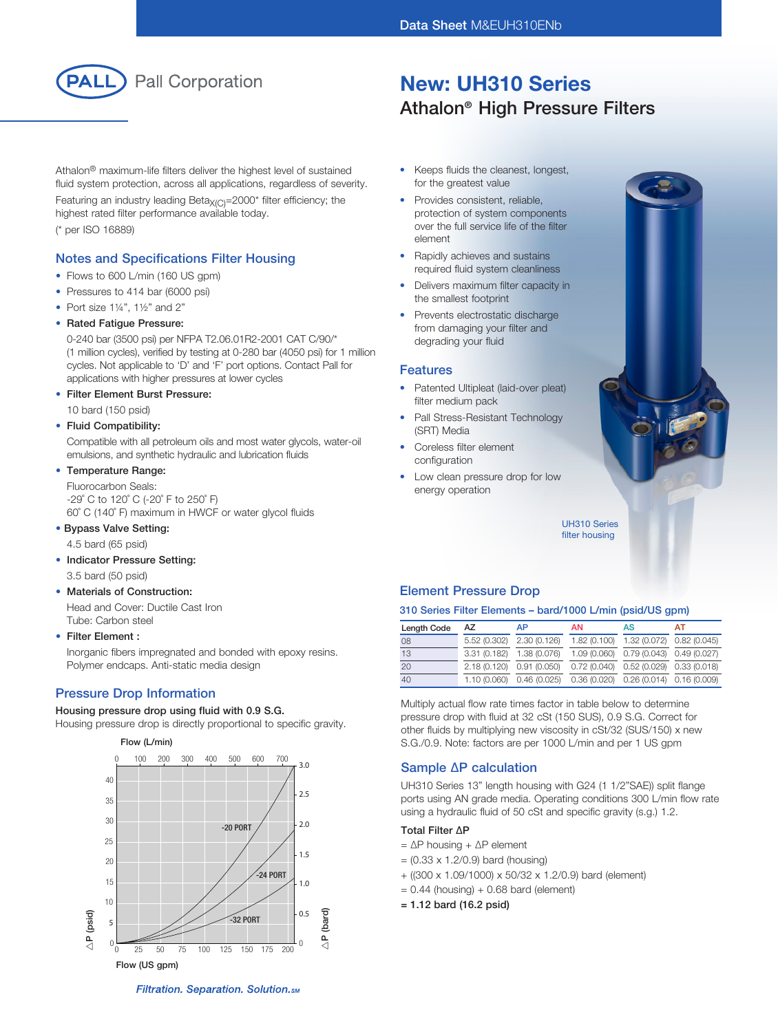New: UH310 Series

Athalon® High Pressure Filters



Athalon® maximum-life filters deliver the highest level of sustained fluid system protection, across all applications, regardless of severity.

Featuring an industry leading Beta $X_{(C)}$ =2000\* filter efficiency; the highest rated filter performance available today. (\* per ISO 16889)

## Notes and Specifications Filter Housing

- Flows to 600 L/min (160 US gpm)
- Pressures to 414 bar (6000 psi)
- Port size  $1\frac{1}{4}$ ",  $1\frac{1}{2}$ " and 2"

#### • Rated Fatigue Pressure:

0-240 bar (3500 psi) per NFPA T2.06.01R2-2001 CAT C/90/\* (1 million cycles), verified by testing at 0-280 bar (4050 psi) for 1 million cycles. Not applicable to 'D' and 'F' port options. Contact Pall for applications with higher pressures at lower cycles

#### **Filter Element Burst Pressure:**

10 bard (150 psid)

#### • Fluid Compatibility:

Compatible with all petroleum oils and most water glycols, water-oil emulsions, and synthetic hydraulic and lubrication fluids

## • Temperature Range:

Fluorocarbon Seals: -29˚ C to 120˚ C (-20˚ F to 250˚ F) 60˚ C (140˚ F) maximum in HWCF or water glycol fluids

#### • Bypass Valve Setting:

4.5 bard (65 psid)

## • Indicator Pressure Setting:

3.5 bard (50 psid)

## **Materials of Construction:**

Head and Cover: Ductile Cast Iron Tube: Carbon steel

#### • Filter Element :

Inorganic fibers impregnated and bonded with epoxy resins. Polymer endcaps. Anti-static media design

## Pressure Drop Information

#### Housing pressure drop using fluid with 0.9 S.G.

Housing pressure drop is directly proportional to specific gravity.



- • Keeps fluids the cleanest, longest, for the greatest value
- Provides consistent, reliable, protection of system components over the full service life of the filter element
- Rapidly achieves and sustains required fluid system cleanliness
- Delivers maximum filter capacity in the smallest footprint
- Prevents electrostatic discharge from damaging your filter and degrading your fluid

#### Features

- Patented Ultipleat (laid-over pleat) filter medium pack
- Pall Stress-Resistant Technology (SRT) Media
- Coreless filter element configuration
- Low clean pressure drop for low energy operation



UH310 Series filter housing

## Element Pressure Drop

## 310 Series Filter Elements – bard/1000 L/min (psid/US gpm)

| Length Code | AZ | AP                                                               | <b>AN</b> | AS                                        | AT |
|-------------|----|------------------------------------------------------------------|-----------|-------------------------------------------|----|
| 08          |    | 5.52 (0.302) 2.30 (0.126)                                        |           | 1.82 (0.100) 1.32 (0.072) 0.82 (0.045)    |    |
| 13          |    | 3.31 (0.182) 1.38 (0.076)                                        |           | 1.09 (0.060) 0.79 (0.043) 0.49 (0.027)    |    |
| 20          |    | 2.18 (0.120) 0.91 (0.050)                                        |           | $0.72(0.040)$ $0.52(0.029)$ $0.33(0.018)$ |    |
| 40          |    | 1.10 (0.060) 0.46 (0.025) 0.36 (0.020) 0.26 (0.014) 0.16 (0.009) |           |                                           |    |

Multiply actual flow rate times factor in table below to determine pressure drop with fluid at 32 cSt (150 SUS), 0.9 S.G. Correct for other fluids by multiplying new viscosity in cSt/32 (SUS/150) x new S.G./0.9. Note: factors are per 1000 L/min and per 1 US gpm

## Sample ∆P calculation

UH310 Series 13" length housing with G24 (1 1/2"SAE)) split flange ports using AN grade media. Operating conditions 300 L/min flow rate using a hydraulic fluid of 50 cSt and specific gravity (s.g.) 1.2.

## Total Filter ∆P

- = ∆P housing + ∆P element
- $= (0.33 \times 1.2/0.9)$  bard (housing)
- + ((300 x 1.09/1000) x 50/32 x 1.2/0.9) bard (element)
- $= 0.44$  (housing) + 0.68 bard (element)
- = 1.12 bard (16.2 psid)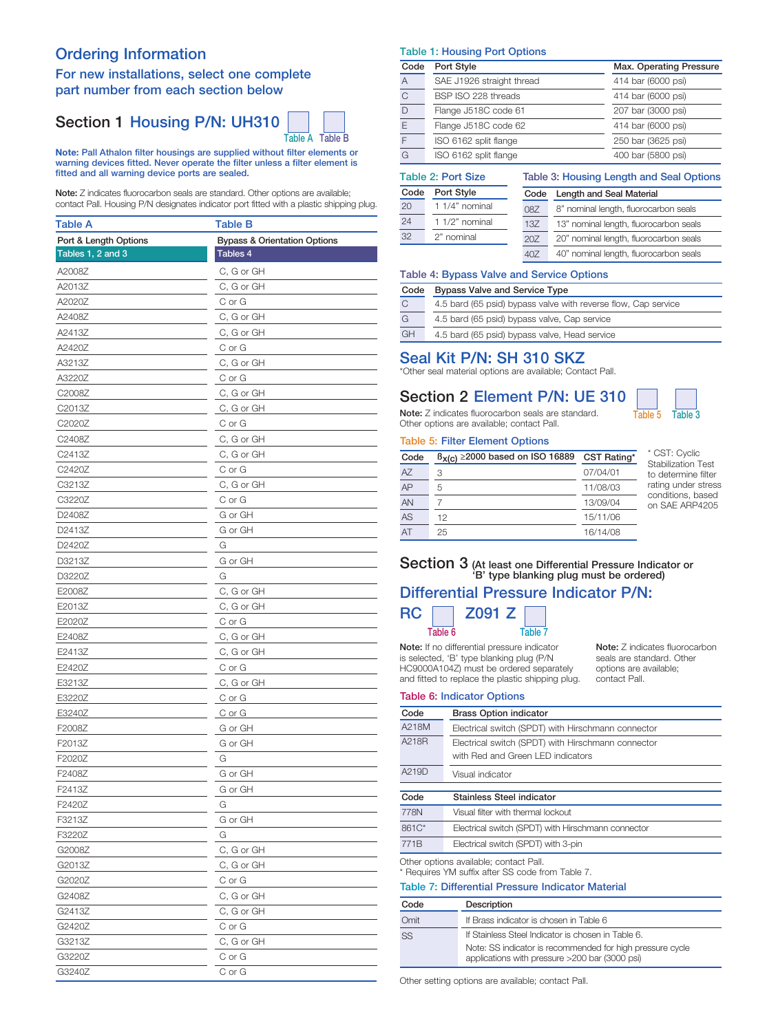## Ordering Information

## For new installations, select one complete part number from each section below

# Section 1 Housing P/N: UH310



Note: Pall Athalon filter housings are supplied without filter elements or warning devices fitted. Never operate the filter unless a filter element is fitted and all warning device ports are sealed.

Note: Z indicates fluorocarbon seals are standard. Other options are available; contact Pall. Housing P/N designates indicator port fitted with a plastic shipping plug.

| Table A               | Table B                                 |
|-----------------------|-----------------------------------------|
| Port & Length Options | <b>Bypass &amp; Orientation Options</b> |
| Tables 1, 2 and 3     | Tables 4                                |
| A2008Z                | C, G or GH                              |
| A2013Z                | C, G or GH                              |
| A2020Z                | C or G                                  |
| A2408Z                | C, G or GH                              |
| A2413Z                | C, G or GH                              |
| A2420Z                | C or G                                  |
| A3213Z                | C, G or GH                              |
| A3220Z                | C or G                                  |
| C2008Z                | C, G or GH                              |
| C2013Z                | C, G or GH                              |
| C2020Z                | C or G                                  |
| C2408Z                | C, G or GH                              |
| C2413Z                | C, G or GH                              |
| C2420Z                | C or G                                  |
| C3213Z                | C, G or GH                              |
| C3220Z                | C or G                                  |
| D2408Z                | G or GH                                 |
| D2413Z                | G or GH                                 |
| D2420Z                | G                                       |
| D3213Z                | G or GH                                 |
| D3220Z                | G                                       |
| E2008Z                | C, G or GH                              |
| E2013Z                | C, G or GH                              |
| E2020Z                | C or G                                  |
| E2408Z                | C, G or GH                              |
| E2413Z                | C, G or GH                              |
| E2420Z                | C or G                                  |
| E3213Z                | C, G or GH                              |
| E3220Z                | C or G                                  |
| E3240Z                | C or G                                  |
| F2008Z                | G or GH                                 |
| F2013Z                | G or GH                                 |
| F2020Z                | G                                       |
| F2408Z                | G or GH                                 |
| F2413Z                | G or GH                                 |
| F2420Z                | G                                       |
| F3213Z                | G or GH                                 |
| F3220Z                | G                                       |
| G2008Z                | C, G or GH                              |
| G2013Z                | C, G or GH                              |
| G2020Z                | C or G                                  |
| G2408Z                | C, G or GH                              |
| G2413Z                | C, G or GH                              |
| G2420Z                | C or G                                  |
| G3213Z                | C, G or GH                              |
| G3220Z                | C or G                                  |
| G3240Z                | C or G                                  |

#### Table 1: Housing Port Options

| Code | Port Style                | Max. Operating Pressure |
|------|---------------------------|-------------------------|
| A    | SAE J1926 straight thread | 414 bar (6000 psi)      |
| C    | BSP ISO 228 threads       | 414 bar (6000 psi)      |
| D    | Flange J518C code 61      | 207 bar (3000 psi)      |
| E    | Flange J518C code 62      | 414 bar (6000 psi)      |
| F    | ISO 6162 split flange     | 250 bar (3625 psi)      |
| G    | ISO 6162 split flange     | 400 bar (5800 psi)      |

Table 3: Housing Length and Seal Options

## Table 2: Port Size

| Code | Port Style        | Code | Length and Seal Material               |
|------|-------------------|------|----------------------------------------|
| 20   | 1 1/4" nominal    | 08Z  | 8" nominal length, fluorocarbon seals  |
| 24   | 1 $1/2$ " nominal | 13Z  | 13" nominal length, fluorocarbon seals |
| 32   | 2" nominal        | 20Z  | 20" nominal length, fluorocarbon seals |
|      |                   | 407  | 40" nominal length, fluorocarbon seals |

#### Table 4: Bypass Valve and Service Options

| Code         | <b>Bypass Valve and Service Type</b>                           |  |  |
|--------------|----------------------------------------------------------------|--|--|
| $\mathsf{C}$ | 4.5 bard (65 psid) bypass valve with reverse flow, Cap service |  |  |
| G            | 4.5 bard (65 psid) bypass valve, Cap service                   |  |  |
| <b>GH</b>    | 4.5 bard (65 psid) bypass valve, Head service                  |  |  |

## Seal Kit P/N: SH 310 SKZ

\*Other seal material options are available; Contact Pall.

# Section 2 Element P/N: UE 310

Note: Z indicates fluorocarbon seals are standard. Table 5 Table 3 Other options are available; contact Pall.

#### Table 5: Filter Element Options

| Code | $B_{X(C)} \ge 2000$ based on ISO 16889 | CST Rating* | * CST: Cyclic<br><b>Stabilization Test</b> |
|------|----------------------------------------|-------------|--------------------------------------------|
| AZ.  | 3                                      | 07/04/01    | to determine filter                        |
| AP   | 5                                      | 11/08/03    | rating under stress                        |
| AN   |                                        | 13/09/04    | conditions, based<br>on SAE ARP4205        |
| AS   | 12                                     | 15/11/06    |                                            |
| AT   | 25                                     | 16/14/08    |                                            |

## Section 3 (At least one Differential Pressure Indicator or 'B' type blanking plug must be ordered) Differential Pressure Indicator P/N:

# $RC \Box Z091 Z$ Table 6 Table 7

Note: If no differential pressure indicator is selected, 'B' type blanking plug (P/N HC9000A104Z) must be ordered separately and fitted to replace the plastic shipping plug.

Note: Z indicates fluorocarbon seals are standard. Other options are available; contact Pall.

#### Table 6: Indicator Options

| Code                                              | <b>Brass Option indicator</b>                                                                               |  |  |  |
|---------------------------------------------------|-------------------------------------------------------------------------------------------------------------|--|--|--|
| A218M                                             | Electrical switch (SPDT) with Hirschmann connector                                                          |  |  |  |
| A218R                                             | Electrical switch (SPDT) with Hirschmann connector                                                          |  |  |  |
|                                                   | with Red and Green LED indicators                                                                           |  |  |  |
| A219D                                             | Visual indicator                                                                                            |  |  |  |
| Stainless Steel indicator<br>Code                 |                                                                                                             |  |  |  |
| 778N                                              | Visual filter with thermal lockout                                                                          |  |  |  |
| 861C*                                             | Electrical switch (SPDT) with Hirschmann connector                                                          |  |  |  |
| 771B                                              | Electrical switch (SPDT) with 3-pin                                                                         |  |  |  |
| Other options available; contact Pall.            |                                                                                                             |  |  |  |
| * Requires YM suffix after SS code from Table 7.  |                                                                                                             |  |  |  |
| Table 7: Differential Pressure Indicator Material |                                                                                                             |  |  |  |
| Code                                              | Description                                                                                                 |  |  |  |
| Omit                                              | If Brass indicator is chosen in Table 6                                                                     |  |  |  |
| SS                                                | If Stainless Steel Indicator is chosen in Table 6.                                                          |  |  |  |
|                                                   | Note: SS indicator is recommended for high pressure cycle<br>applications with pressure >200 bar (3000 psi) |  |  |  |

Other setting options are available; contact Pall.